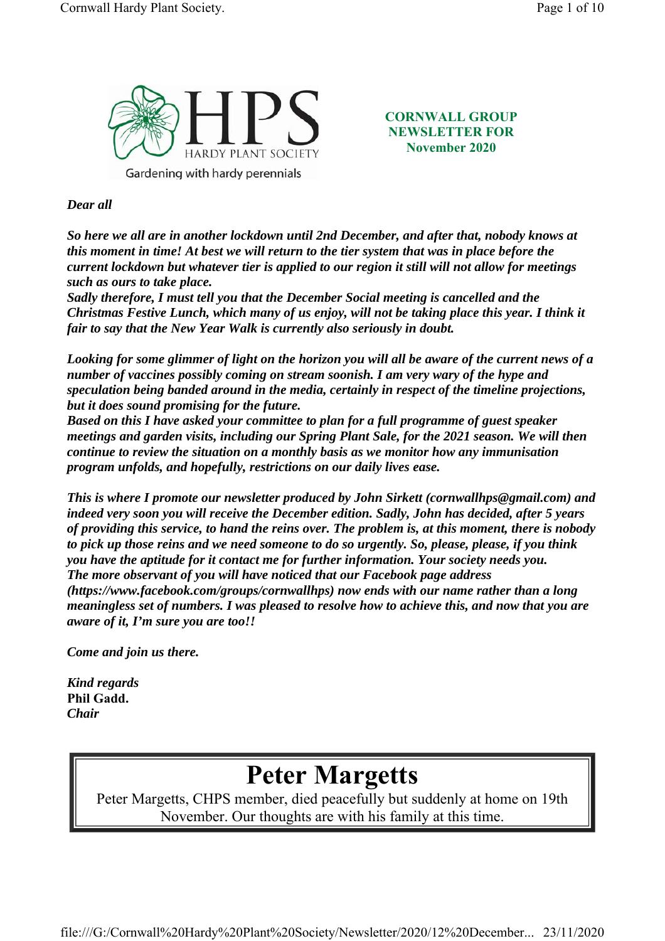

**CORNWALL GROUP NEWSLETTER FOR November 2020**

#### *Dear all*

*So here we all are in another lockdown until 2nd December, and after that, nobody knows at this moment in time! At best we will return to the tier system that was in place before the current lockdown but whatever tier is applied to our region it still will not allow for meetings such as ours to take place.*

*Sadly therefore, I must tell you that the December Social meeting is cancelled and the Christmas Festive Lunch, which many of us enjoy, will not be taking place this year. I think it fair to say that the New Year Walk is currently also seriously in doubt.*

*Looking for some glimmer of light on the horizon you will all be aware of the current news of a number of vaccines possibly coming on stream soonish. I am very wary of the hype and speculation being banded around in the media, certainly in respect of the timeline projections, but it does sound promising for the future.*

*Based on this I have asked your committee to plan for a full programme of guest speaker meetings and garden visits, including our Spring Plant Sale, for the 2021 season. We will then continue to review the situation on a monthly basis as we monitor how any immunisation program unfolds, and hopefully, restrictions on our daily lives ease.*

*This is where I promote our newsletter produced by John Sirkett (cornwallhps@gmail.com) and indeed very soon you will receive the December edition. Sadly, John has decided, after 5 years of providing this service, to hand the reins over. The problem is, at this moment, there is nobody to pick up those reins and we need someone to do so urgently. So, please, please, if you think you have the aptitude for it contact me for further information. Your society needs you. The more observant of you will have noticed that our Facebook page address (https://www.facebook.com/groups/cornwallhps) now ends with our name rather than a long meaningless set of numbers. I was pleased to resolve how to achieve this, and now that you are aware of it, I'm sure you are too!!* 

*Come and join us there.*

*Kind regards* **Phil Gadd.**  *Chair*

# **Peter Margetts**

Peter Margetts, CHPS member, died peacefully but suddenly at home on 19th November. Our thoughts are with his family at this time.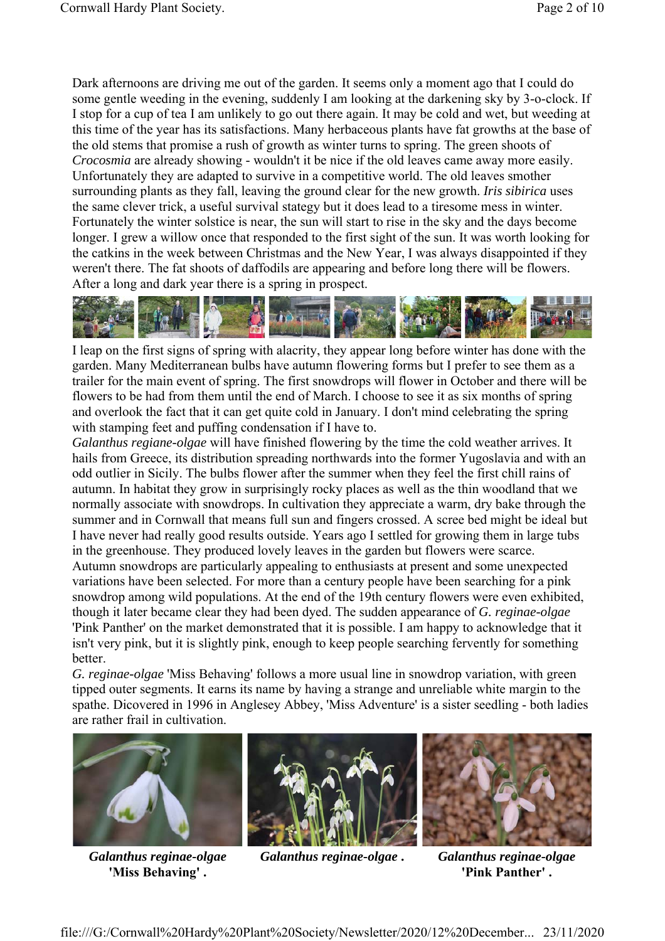Dark afternoons are driving me out of the garden. It seems only a moment ago that I could do some gentle weeding in the evening, suddenly I am looking at the darkening sky by 3-o-clock. If I stop for a cup of tea I am unlikely to go out there again. It may be cold and wet, but weeding at this time of the year has its satisfactions. Many herbaceous plants have fat growths at the base of the old stems that promise a rush of growth as winter turns to spring. The green shoots of *Crocosmia* are already showing - wouldn't it be nice if the old leaves came away more easily. Unfortunately they are adapted to survive in a competitive world. The old leaves smother surrounding plants as they fall, leaving the ground clear for the new growth. *Iris sibirica* uses the same clever trick, a useful survival stategy but it does lead to a tiresome mess in winter. Fortunately the winter solstice is near, the sun will start to rise in the sky and the days become longer. I grew a willow once that responded to the first sight of the sun. It was worth looking for the catkins in the week between Christmas and the New Year, I was always disappointed if they weren't there. The fat shoots of daffodils are appearing and before long there will be flowers. After a long and dark year there is a spring in prospect.



I leap on the first signs of spring with alacrity, they appear long before winter has done with the garden. Many Mediterranean bulbs have autumn flowering forms but I prefer to see them as a trailer for the main event of spring. The first snowdrops will flower in October and there will be flowers to be had from them until the end of March. I choose to see it as six months of spring and overlook the fact that it can get quite cold in January. I don't mind celebrating the spring with stamping feet and puffing condensation if I have to.

*Galanthus regiane-olgae* will have finished flowering by the time the cold weather arrives. It hails from Greece, its distribution spreading northwards into the former Yugoslavia and with an odd outlier in Sicily. The bulbs flower after the summer when they feel the first chill rains of autumn. In habitat they grow in surprisingly rocky places as well as the thin woodland that we normally associate with snowdrops. In cultivation they appreciate a warm, dry bake through the summer and in Cornwall that means full sun and fingers crossed. A scree bed might be ideal but I have never had really good results outside. Years ago I settled for growing them in large tubs in the greenhouse. They produced lovely leaves in the garden but flowers were scarce.

Autumn snowdrops are particularly appealing to enthusiasts at present and some unexpected variations have been selected. For more than a century people have been searching for a pink snowdrop among wild populations. At the end of the 19th century flowers were even exhibited, though it later became clear they had been dyed. The sudden appearance of *G. reginae-olgae* 'Pink Panther' on the market demonstrated that it is possible. I am happy to acknowledge that it isn't very pink, but it is slightly pink, enough to keep people searching fervently for something better.

*G. reginae-olgae* 'Miss Behaving' follows a more usual line in snowdrop variation, with green tipped outer segments. It earns its name by having a strange and unreliable white margin to the spathe. Dicovered in 1996 in Anglesey Abbey, 'Miss Adventure' is a sister seedling - both ladies are rather frail in cultivation.



*Galanthus reginae-olgae* **'Miss Behaving' .** 



*Galanthus reginae-olgae* **.** *Galanthus reginae-olgae*



**'Pink Panther' .**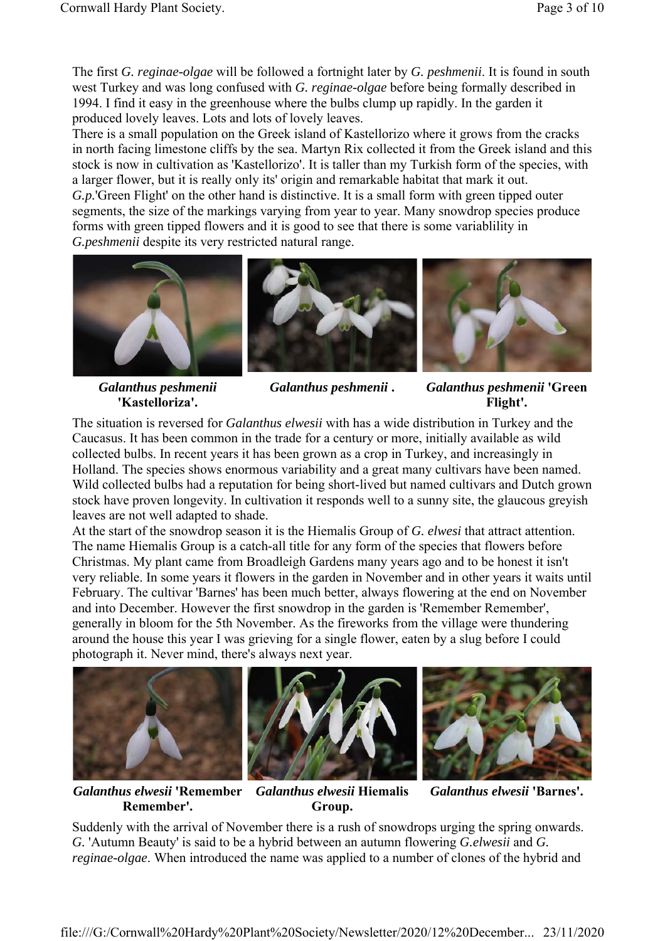The first *G. reginae-olgae* will be followed a fortnight later by *G. peshmenii*. It is found in south west Turkey and was long confused with *G. reginae-olgae* before being formally described in 1994. I find it easy in the greenhouse where the bulbs clump up rapidly. In the garden it produced lovely leaves. Lots and lots of lovely leaves.

There is a small population on the Greek island of Kastellorizo where it grows from the cracks in north facing limestone cliffs by the sea. Martyn Rix collected it from the Greek island and this stock is now in cultivation as 'Kastellorizo'. It is taller than my Turkish form of the species, with a larger flower, but it is really only its' origin and remarkable habitat that mark it out. *G.p.*'Green Flight' on the other hand is distinctive. It is a small form with green tipped outer segments, the size of the markings varying from year to year. Many snowdrop species produce forms with green tipped flowers and it is good to see that there is some variablility in *G.peshmenii* despite its very restricted natural range.



*Galanthus peshmenii* **'Kastelloriza'.** 

*Galanthus peshmenii* **.** *Galanthus peshmenii* **'Green Flight'.** 

The situation is reversed for *Galanthus elwesii* with has a wide distribution in Turkey and the Caucasus. It has been common in the trade for a century or more, initially available as wild collected bulbs. In recent years it has been grown as a crop in Turkey, and increasingly in Holland. The species shows enormous variability and a great many cultivars have been named. Wild collected bulbs had a reputation for being short-lived but named cultivars and Dutch grown stock have proven longevity. In cultivation it responds well to a sunny site, the glaucous greyish leaves are not well adapted to shade.

At the start of the snowdrop season it is the Hiemalis Group of *G. elwesi* that attract attention. The name Hiemalis Group is a catch-all title for any form of the species that flowers before Christmas. My plant came from Broadleigh Gardens many years ago and to be honest it isn't very reliable. In some years it flowers in the garden in November and in other years it waits until February. The cultivar 'Barnes' has been much better, always flowering at the end on November and into December. However the first snowdrop in the garden is 'Remember Remember', generally in bloom for the 5th November. As the fireworks from the village were thundering around the house this year I was grieving for a single flower, eaten by a slug before I could photograph it. Never mind, there's always next year.



**Remember'.** 





*Galanthus elwesii* **'Barnes'.** 

Suddenly with the arrival of November there is a rush of snowdrops urging the spring onwards. *G.* 'Autumn Beauty' is said to be a hybrid between an autumn flowering *G.elwesii* and *G. reginae-olgae*. When introduced the name was applied to a number of clones of the hybrid and

**Group.** 

*Galanthus elwesii* **'Remember**  *Galanthus elwesii* **Hiemalis**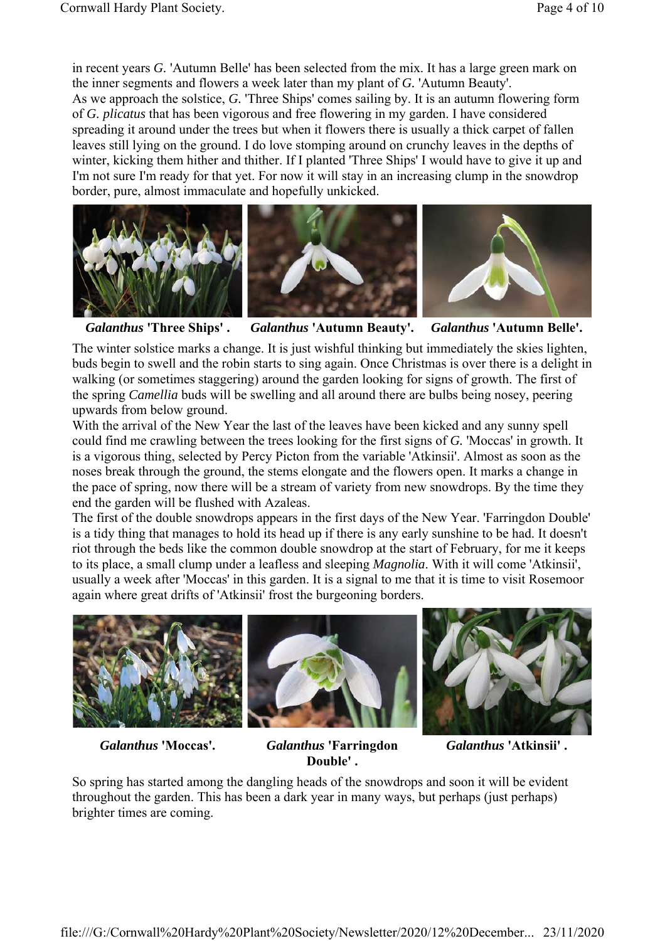in recent years *G.* 'Autumn Belle' has been selected from the mix. It has a large green mark on the inner segments and flowers a week later than my plant of *G.* 'Autumn Beauty'. As we approach the solstice, *G.* 'Three Ships' comes sailing by. It is an autumn flowering form of *G. plicatus* that has been vigorous and free flowering in my garden. I have considered spreading it around under the trees but when it flowers there is usually a thick carpet of fallen leaves still lying on the ground. I do love stomping around on crunchy leaves in the depths of winter, kicking them hither and thither. If I planted 'Three Ships' I would have to give it up and I'm not sure I'm ready for that yet. For now it will stay in an increasing clump in the snowdrop border, pure, almost immaculate and hopefully unkicked.



*Galanthus* **'Three Ships' .** *Galanthus* **'Autumn Beauty'.** *Galanthus* **'Autumn Belle'.** 

The winter solstice marks a change. It is just wishful thinking but immediately the skies lighten, buds begin to swell and the robin starts to sing again. Once Christmas is over there is a delight in walking (or sometimes staggering) around the garden looking for signs of growth. The first of the spring *Camellia* buds will be swelling and all around there are bulbs being nosey, peering upwards from below ground.

With the arrival of the New Year the last of the leaves have been kicked and any sunny spell could find me crawling between the trees looking for the first signs of *G.* 'Moccas' in growth. It is a vigorous thing, selected by Percy Picton from the variable 'Atkinsii'. Almost as soon as the noses break through the ground, the stems elongate and the flowers open. It marks a change in the pace of spring, now there will be a stream of variety from new snowdrops. By the time they end the garden will be flushed with Azaleas.

The first of the double snowdrops appears in the first days of the New Year. 'Farringdon Double' is a tidy thing that manages to hold its head up if there is any early sunshine to be had. It doesn't riot through the beds like the common double snowdrop at the start of February, for me it keeps to its place, a small clump under a leafless and sleeping *Magnolia*. With it will come 'Atkinsii', usually a week after 'Moccas' in this garden. It is a signal to me that it is time to visit Rosemoor again where great drifts of 'Atkinsii' frost the burgeoning borders.



*Galanthus* **'Moccas'.** *Galanthus* **'Farringdon Double' .** 

*Galanthus* **'Atkinsii' .** 

So spring has started among the dangling heads of the snowdrops and soon it will be evident throughout the garden. This has been a dark year in many ways, but perhaps (just perhaps) brighter times are coming.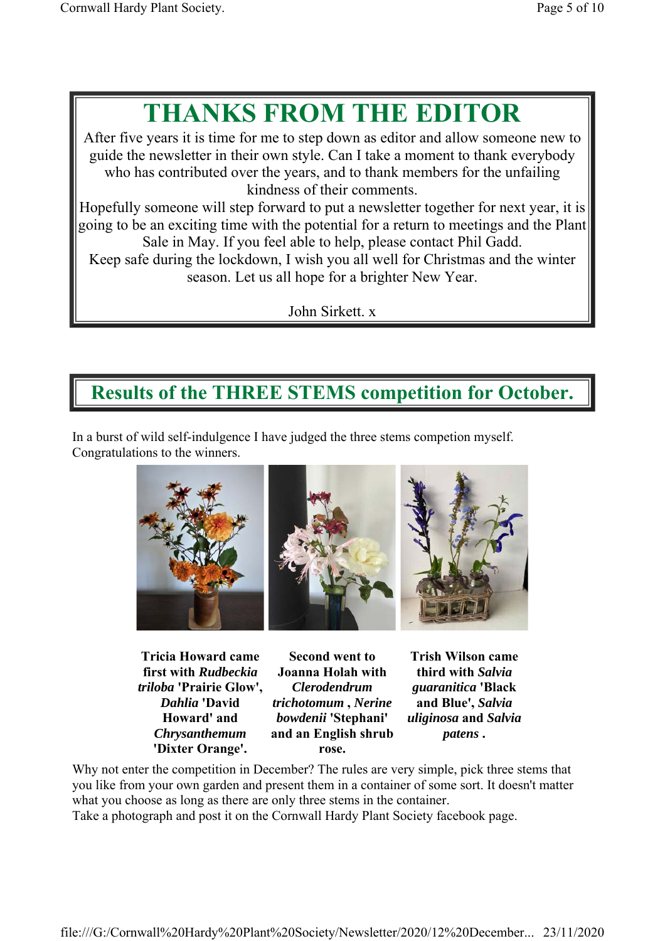# **THANKS FROM THE EDITOR**

After five years it is time for me to step down as editor and allow someone new to guide the newsletter in their own style. Can I take a moment to thank everybody who has contributed over the years, and to thank members for the unfailing kindness of their comments.

Hopefully someone will step forward to put a newsletter together for next year, it is going to be an exciting time with the potential for a return to meetings and the Plant Sale in May. If you feel able to help, please contact Phil Gadd.

Keep safe during the lockdown, I wish you all well for Christmas and the winter season. Let us all hope for a brighter New Year.

John Sirkett. x

## **Results of the THREE STEMS competition for October.**

In a burst of wild self-indulgence I have judged the three stems competion myself. Congratulations to the winners.



**Tricia Howard came first with** *Rudbeckia triloba* **'Prairie Glow',**  *Dahlia* **'David Howard' and**  *Chrysanthemum* **'Dixter Orange'.** 

**Second went to Joanna Holah with**  *Clerodendrum trichotomum* **,** *Nerine bowdenii* **'Stephani' and an English shrub rose.** 

**Trish Wilson came third with** *Salvia guaranitica* **'Black and Blue',** *Salvia uliginosa* **and** *Salvia patens* **.** 

Why not enter the competition in December? The rules are very simple, pick three stems that you like from your own garden and present them in a container of some sort. It doesn't matter what you choose as long as there are only three stems in the container.

Take a photograph and post it on the Cornwall Hardy Plant Society facebook page.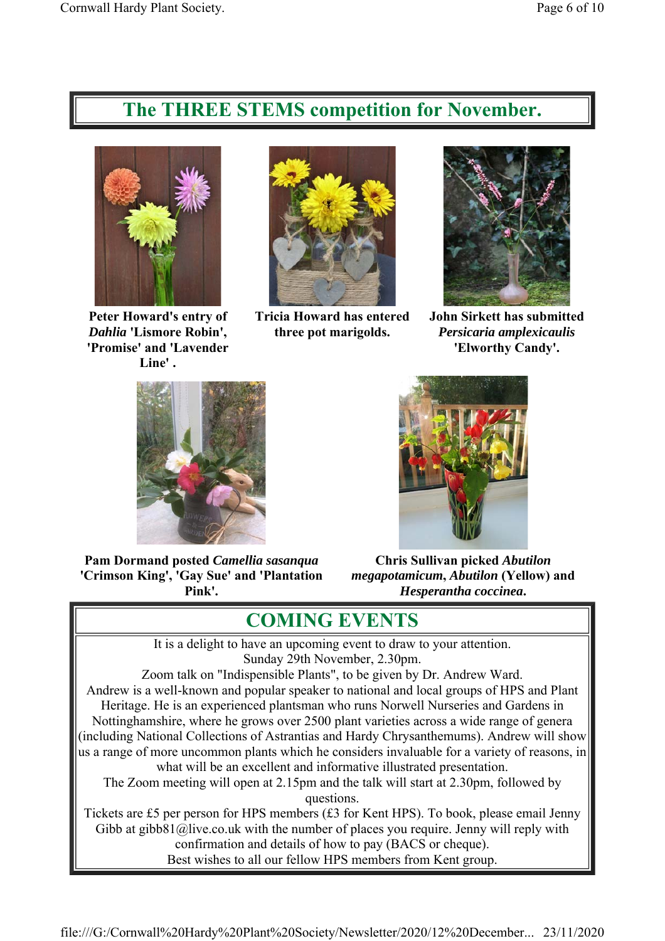#### **The THREE STEMS competition for November.**



**Peter Howard's entry of**  *Dahlia* **'Lismore Robin', 'Promise' and 'Lavender Line' .** 



**Tricia Howard has entered three pot marigolds.** 



**John Sirkett has submitted**  *Persicaria amplexicaulis* **'Elworthy Candy'.** 



**Pam Dormand posted** *Camellia sasanqua* **'Crimson King', 'Gay Sue' and 'Plantation Pink'.** 



**Chris Sullivan picked** *Abutilon megapotamicum***,** *Abutilon* **(Yellow) and**  *Hesperantha coccinea***.** 

#### **COMING EVENTS**

It is a delight to have an upcoming event to draw to your attention. Sunday 29th November, 2.30pm.

Zoom talk on "Indispensible Plants", to be given by Dr. Andrew Ward. Andrew is a well-known and popular speaker to national and local groups of HPS and Plant Heritage. He is an experienced plantsman who runs Norwell Nurseries and Gardens in Nottinghamshire, where he grows over 2500 plant varieties across a wide range of genera (including National Collections of Astrantias and Hardy Chrysanthemums). Andrew will show us a range of more uncommon plants which he considers invaluable for a variety of reasons, in what will be an excellent and informative illustrated presentation. The Zoom meeting will open at 2.15pm and the talk will start at 2.30pm, followed by questions.

Tickets are £5 per person for HPS members (£3 for Kent HPS). To book, please email Jenny Gibb at gibb81@live.co.uk with the number of places you require. Jenny will reply with confirmation and details of how to pay (BACS or cheque). Best wishes to all our fellow HPS members from Kent group.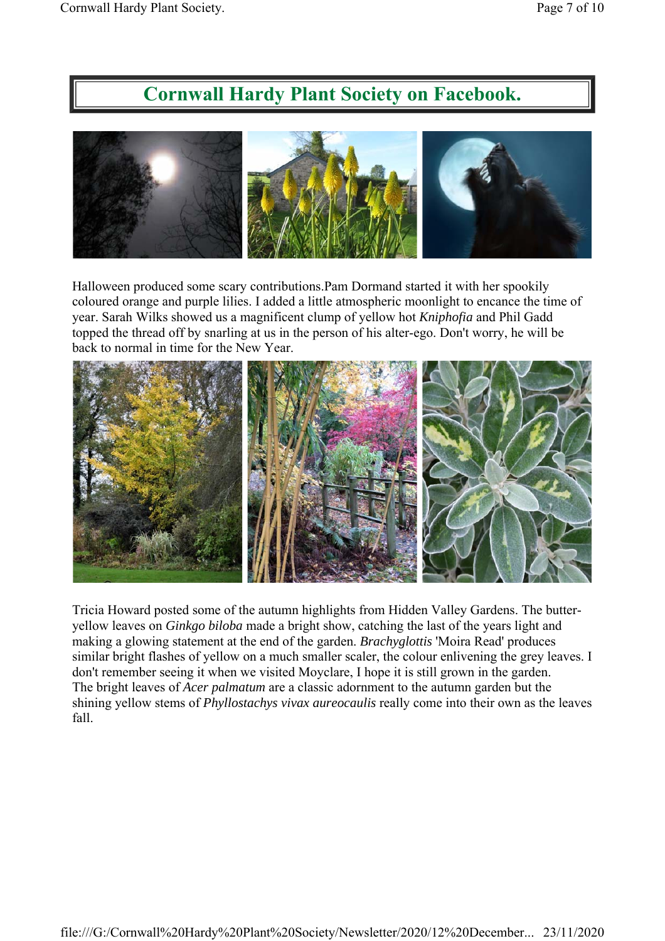#### **Cornwall Hardy Plant Society on Facebook.**



Halloween produced some scary contributions.Pam Dormand started it with her spookily coloured orange and purple lilies. I added a little atmospheric moonlight to encance the time of year. Sarah Wilks showed us a magnificent clump of yellow hot *Kniphofia* and Phil Gadd topped the thread off by snarling at us in the person of his alter-ego. Don't worry, he will be back to normal in time for the New Year.



Tricia Howard posted some of the autumn highlights from Hidden Valley Gardens. The butteryellow leaves on *Ginkgo biloba* made a bright show, catching the last of the years light and making a glowing statement at the end of the garden. *Brachyglottis* 'Moira Read' produces similar bright flashes of yellow on a much smaller scaler, the colour enlivening the grey leaves. I don't remember seeing it when we visited Moyclare, I hope it is still grown in the garden. The bright leaves of *Acer palmatum* are a classic adornment to the autumn garden but the shining yellow stems of *Phyllostachys vivax aureocaulis* really come into their own as the leaves fall.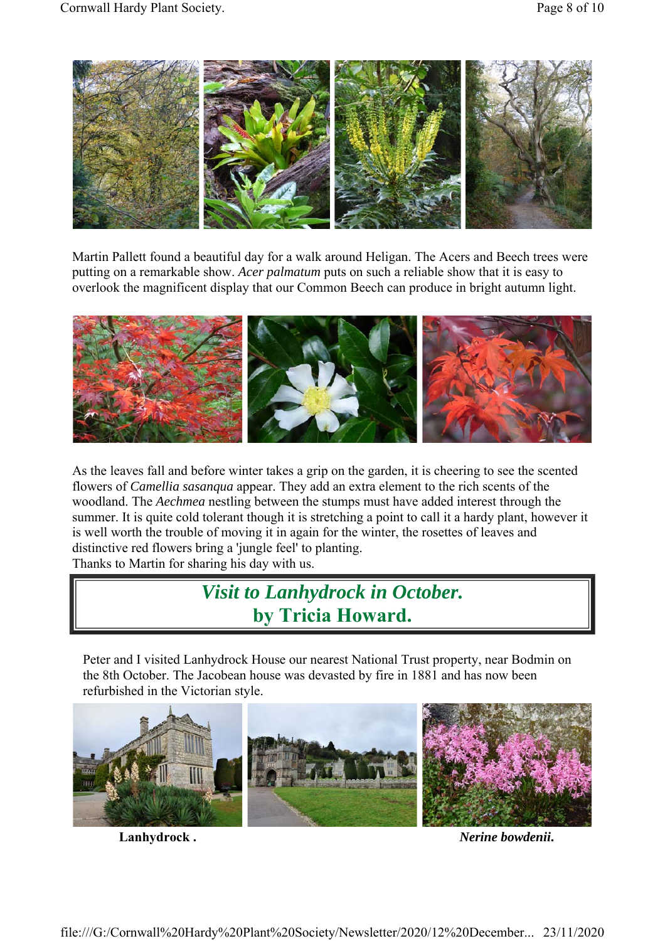

Martin Pallett found a beautiful day for a walk around Heligan. The Acers and Beech trees were putting on a remarkable show. *Acer palmatum* puts on such a reliable show that it is easy to overlook the magnificent display that our Common Beech can produce in bright autumn light.



As the leaves fall and before winter takes a grip on the garden, it is cheering to see the scented flowers of *Camellia sasanqua* appear. They add an extra element to the rich scents of the woodland. The *Aechmea* nestling between the stumps must have added interest through the summer. It is quite cold tolerant though it is stretching a point to call it a hardy plant, however it is well worth the trouble of moving it in again for the winter, the rosettes of leaves and distinctive red flowers bring a 'jungle feel' to planting. Thanks to Martin for sharing his day with us.

### *Visit to Lanhydrock in October.* **by Tricia Howard.**

Peter and I visited Lanhydrock House our nearest National Trust property, near Bodmin on the 8th October. The Jacobean house was devasted by fire in 1881 and has now been refurbished in the Victorian style.



Lanhydrock . *Nerine bowdenii*.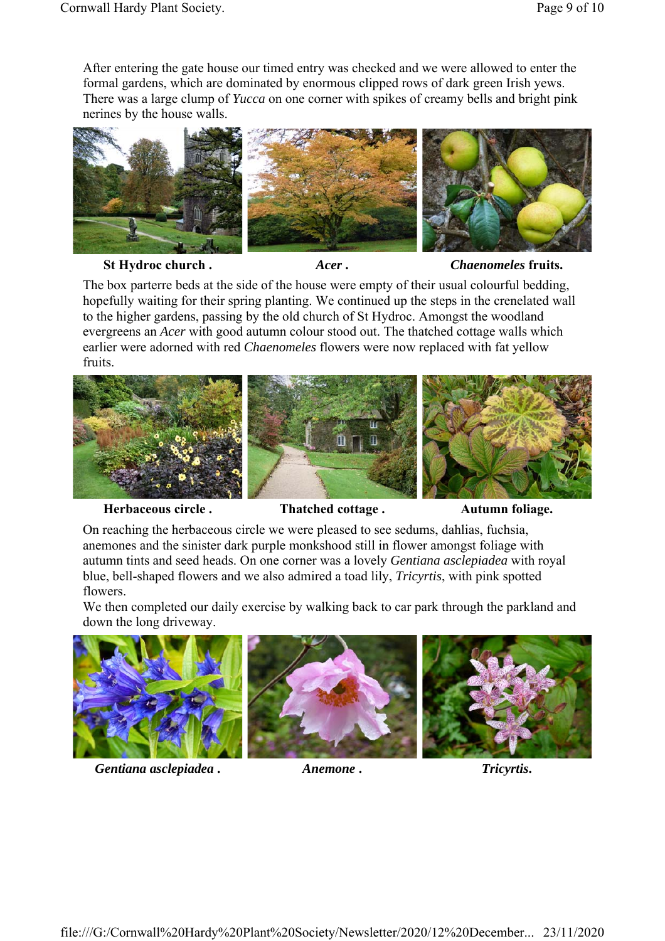After entering the gate house our timed entry was checked and we were allowed to enter the formal gardens, which are dominated by enormous clipped rows of dark green Irish yews. There was a large clump of *Yucca* on one corner with spikes of creamy bells and bright pink nerines by the house walls.



St Hydroc church . *Acer* . *Acer* . *Chaenomeles* fruits.

The box parterre beds at the side of the house were empty of their usual colourful bedding, hopefully waiting for their spring planting. We continued up the steps in the crenelated wall to the higher gardens, passing by the old church of St Hydroc. Amongst the woodland evergreens an *Acer* with good autumn colour stood out. The thatched cottage walls which earlier were adorned with red *Chaenomeles* flowers were now replaced with fat yellow fruits.



Herbaceous circle . Thatched cottage . Autumn foliage.

On reaching the herbaceous circle we were pleased to see sedums, dahlias, fuchsia, anemones and the sinister dark purple monkshood still in flower amongst foliage with autumn tints and seed heads. On one corner was a lovely *Gentiana asclepiadea* with royal blue, bell-shaped flowers and we also admired a toad lily, *Tricyrtis*, with pink spotted flowers.

We then completed our daily exercise by walking back to car park through the parkland and down the long driveway.



*Gentiana asclepiadea* **.** *Anemone* **.** *Tricyrtis***.**